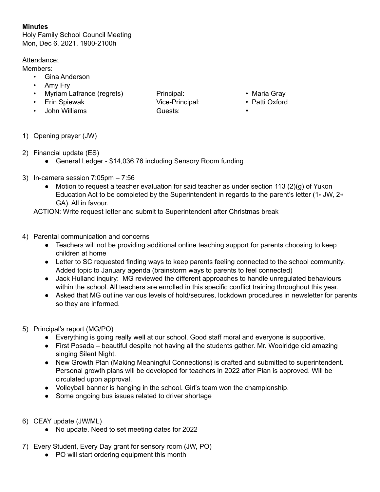## **Minutes**

Holy Family School Council Meeting Mon, Dec 6, 2021, 1900-2100h

## Attendance:

Members:

- Gina Anderson
- Amy Fry
- Myriam Lafrance (regrets) Principal: Maria Gray
- Erin Spiewak Vice-Principal: Patti Oxford
- John Williams Guests: •

- 
- 
- 

- 1) Opening prayer (JW)
- 2) Financial update (ES)
	- General Ledger \$14,036.76 including Sensory Room funding
- 3) In-camera session 7:05pm 7:56
	- Motion to request a teacher evaluation for said teacher as under section 113 (2)(g) of Yukon Education Act to be completed by the Superintendent in regards to the parent's letter (1<sup>st</sup> JW,  $2^{\omega}$ GA). All in favour.

ACTION: Write request letter and submit to Superintendent after Christmas break

- 4) Parental communication and concerns
	- Teachers will not be providing additional online teaching support for parents choosing to keep children at home
	- Letter to SC requested finding ways to keep parents feeling connected to the school community. Added topic to January agenda (brainstorm ways to parents to feel connected)
	- Jack Hulland inquiry: MG reviewed the different approaches to handle unregulated behaviours within the school. All teachers are enrolled in this specific conflict training throughout this year.
	- Asked that MG outline various levels of hold/secures, lockdown procedures in newsletter for parents so they are informed.
- 5) Principal's report (MG/PO)
	- Everything is going really well at our school. Good staff moral and everyone is supportive.
	- First Posada beautiful despite not having all the students gather. Mr. Woolridge did amazing singing Silent Night.
	- New Growth Plan (Making Meaningful Connections) is drafted and submitted to superintendent. Personal growth plans will be developed for teachers in 2022 after Plan is approved. Will be circulated upon approval.
	- Volleyball banner is hanging in the school. Girl's team won the championship.
	- Some ongoing bus issues related to driver shortage
- 6) CEAY update (JW/ML)
	- No update. Need to set meeting dates for 2022
- 7) Every Student, Every Day grant for sensory room (JW, PO)
	- PO will start ordering equipment this month